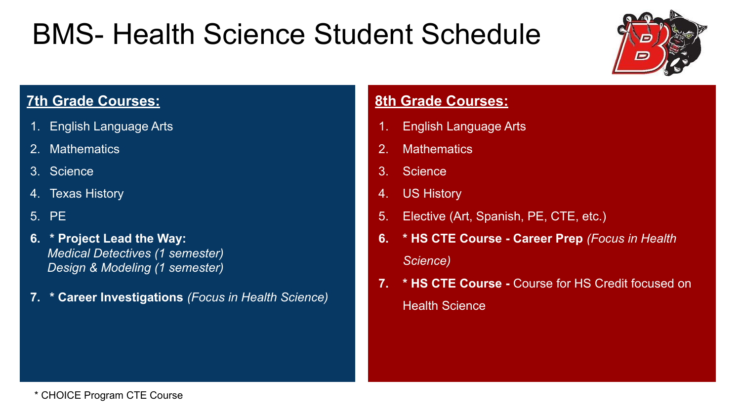# BMS- Health Science Student Schedule



### **7th Grade Courses:**

- 1. English Language Arts
- 2. Mathematics
- 3. Science
- 4. Texas History
- 5. PE
- 6. \* Project Lead the Way: Medical Detectives (1 semester) Design & Modeling (1 semester)
- 7. \* Career Investigations (Focus in Health Science)

#### **8th Grade Courses:**

- 1. English Language Arts
- 2. Mathematics
- 3. Science
- 4. US History
- 5. Elective (Art, Spanish, PE, CTE, etc.)
- 6. \* HS CTE Course Career Prep (Focus in Health Science)
- 7. \* HS CTE Course Course for HS Credit focused on Health Science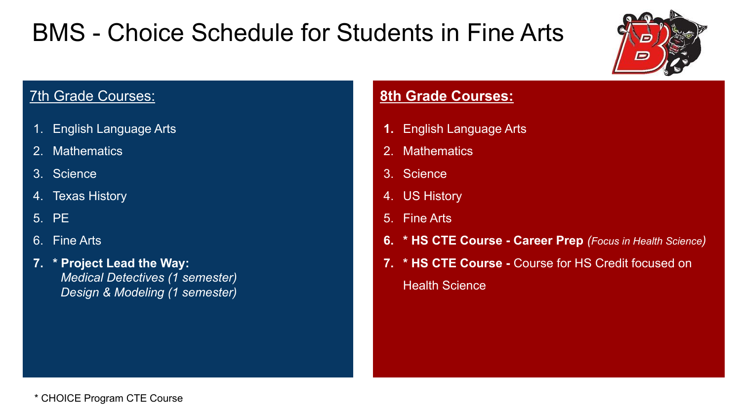## BMS - Choice Schedule for Students in Fine Arts



### **7th Grade Courses:**

- 1. English Language Arts
- 2. Mathematics
- 3. Science
- 4. Texas History
- 5. PE
- 6. Fine Arts
- 7. \* Project Lead the Way: Medical Detectives (1 semester) Design & Modeling (1 semester)

### **8th Grade Courses:**

- 1. English Language Arts
- 2. Mathematics
- 3. Science
- 4. US History
- 5. Fine Arts

- 6. \* HS CTE Course Career Prep (Focus in Health Science)
- 7. \* HS CTE Course Course for HS Credit focused on Health Science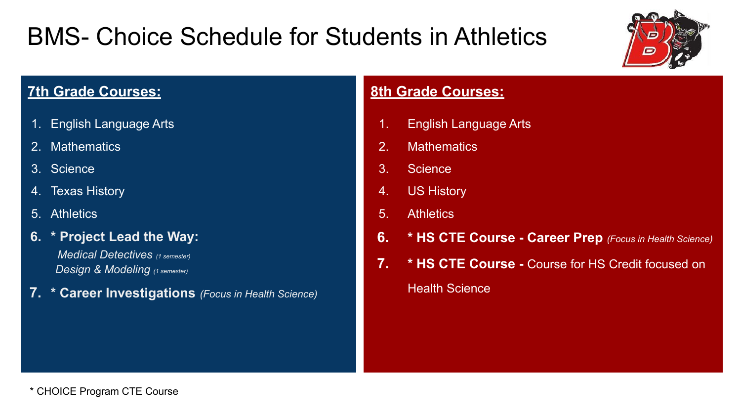### BMS- Choice Schedule for Students in Athletics



### **7th Grade Courses:**

- 1. English Language Arts
- 2. Mathematics
- 3. Science
- 4. Texas History
- 5. Athletics
- 6. \* Project Lead the Way:

Medical Detectives (1 semester) Design & Modeling (1 semester)

7. \* Career Investigations (Focus in Health Science)

### **8th Grade Courses:**

- 1. English Language Arts
- 2. Mathematics
- 3. Science
- 4. US History
- 5. Athletics
- 6. \* HS CTE Course Career Prep (Focus in Health Science)
- 7. \* HS CTE Course Course for HS Credit focused on Health Science